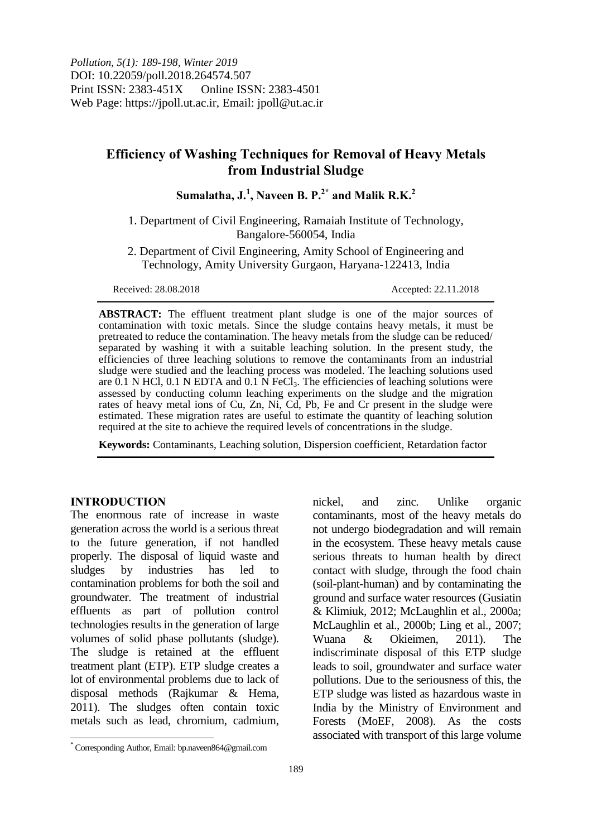# **Efficiency of Washing Techniques for Removal of Heavy Metals from Industrial Sludge**

# **Sumalatha, J. 1 , Naveen B. P. 2\* and Malik R.K. 2**

1. Department of Civil Engineering, Ramaiah Institute of Technology, Bangalore-560054, India

2. Department of Civil Engineering, Amity School of Engineering and Technology, Amity University Gurgaon, Haryana-122413, India

Received: 28.08.2018 Accepted: 22.11.2018

**ABSTRACT:** The effluent treatment plant sludge is one of the major sources of contamination with toxic metals. Since the sludge contains heavy metals, it must be pretreated to reduce the contamination. The heavy metals from the sludge can be reduced/ separated by washing it with a suitable leaching solution. In the present study, the efficiencies of three leaching solutions to remove the contaminants from an industrial sludge were studied and the leaching process was modeled. The leaching solutions used are 0.1 N HCl, 0.1 N EDTA and 0.1  $\overrightarrow{N}$  FeCl<sub>3</sub>. The efficiencies of leaching solutions were assessed by conducting column leaching experiments on the sludge and the migration rates of heavy metal ions of Cu, Zn, Ni, Cd, Pb, Fe and Cr present in the sludge were estimated. These migration rates are useful to estimate the quantity of leaching solution required at the site to achieve the required levels of concentrations in the sludge.

**Keywords:** Contaminants, Leaching solution, Dispersion coefficient, Retardation factor

### **INTRODUCTION**

 $\overline{\phantom{a}}$ 

The enormous rate of increase in waste generation across the world is a serious threat to the future generation, if not handled properly. The disposal of liquid waste and sludges by industries has led to contamination problems for both the soil and groundwater. The treatment of industrial effluents as part of pollution control technologies results in the generation of large volumes of solid phase pollutants (sludge). The sludge is retained at the effluent treatment plant (ETP). ETP sludge creates a lot of environmental problems due to lack of disposal methods (Rajkumar & Hema, 2011). The sludges often contain toxic metals such as lead, chromium, cadmium,

nickel, and zinc. Unlike organic contaminants, most of the heavy metals do not undergo biodegradation and will remain in the ecosystem. These heavy metals cause serious threats to human health by direct contact with sludge, through the food chain (soil-plant-human) and by contaminating the ground and surface water resources (Gusiatin & Klimiuk, 2012; McLaughlin et al., 2000a; McLaughlin et al., 2000b; Ling et al., 2007; Wuana & Okieimen, 2011). The indiscriminate disposal of this ETP sludge leads to soil, groundwater and surface water pollutions. Due to the seriousness of this, the ETP sludge was listed as hazardous waste in India by the Ministry of Environment and Forests (MoEF, 2008). As the costs associated with transport of this large volume

<sup>\*</sup> Corresponding Author, Email: bp.naveen864@gmail.com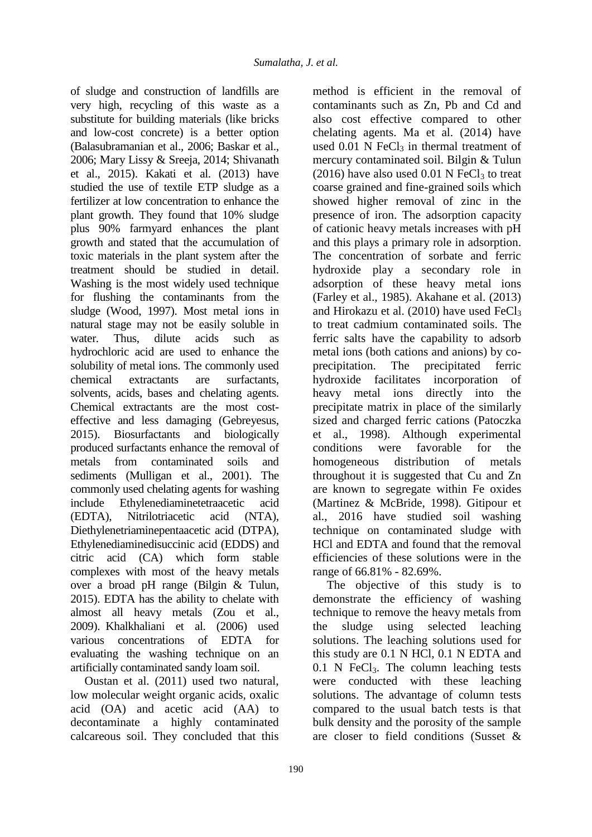of sludge and construction of landfills are very high, recycling of this waste as a substitute for building materials (like bricks and low-cost concrete) is a better option (Balasubramanian et al., 2006; Baskar et al., 2006; Mary Lissy & Sreeja, 2014; Shivanath et al., 2015). Kakati et al. (2013) have studied the use of textile ETP sludge as a fertilizer at low concentration to enhance the plant growth. They found that 10% sludge plus 90% farmyard enhances the plant growth and stated that the accumulation of toxic materials in the plant system after the treatment should be studied in detail. Washing is the most widely used technique for flushing the contaminants from the sludge (Wood, 1997). Most metal ions in natural stage may not be easily soluble in water. Thus, dilute acids such as hydrochloric acid are used to enhance the solubility of metal ions. The commonly used chemical extractants are surfactants, solvents, acids, bases and chelating agents. Chemical extractants are the most costeffective and less damaging (Gebreyesus, 2015). Biosurfactants and biologically produced surfactants enhance the removal of metals from contaminated soils and sediments (Mulligan et al., 2001). The commonly used chelating agents for washing include Ethylenediaminetetraacetic acid (EDTA), Nitrilotriacetic acid (NTA), Diethylenetriaminepentaacetic acid (DTPA), Ethylenediaminedisuccinic acid (EDDS) and citric acid (CA) which form stable complexes with most of the heavy metals over a broad pH range (Bilgin & Tulun, 2015). EDTA has the ability to chelate with almost all heavy metals (Zou et al., 2009). Khalkhaliani et al. (2006) used various concentrations of EDTA for evaluating the washing technique on an artificially contaminated sandy loam soil.

Oustan et al. (2011) used two natural, low molecular weight organic acids, oxalic acid (OA) and acetic acid (AA) to decontaminate a highly contaminated calcareous soil. They concluded that this method is efficient in the removal of contaminants such as Zn, Pb and Cd and also cost effective compared to other chelating agents. Ma et al. (2014) have used  $0.01$  N FeCl<sub>3</sub> in thermal treatment of mercury contaminated soil. Bilgin & Tulun  $(2016)$  have also used 0.01 N FeCl<sub>3</sub> to treat coarse grained and fine-grained soils which showed higher removal of zinc in the presence of iron. The adsorption capacity of cationic heavy metals increases with pH and this plays a primary role in adsorption. The concentration of sorbate and ferric hydroxide play a secondary role in adsorption of these heavy metal ions (Farley et al., 1985). Akahane et al. (2013) and Hirokazu et al.  $(2010)$  have used FeCl<sub>3</sub> to treat cadmium contaminated soils. The ferric salts have the capability to adsorb metal ions (both cations and anions) by coprecipitation. The precipitated ferric hydroxide facilitates incorporation of heavy metal ions directly into the precipitate matrix in place of the similarly sized and charged ferric cations (Patoczka et al., 1998). Although experimental conditions were favorable for the homogeneous distribution of metals throughout it is suggested that Cu and Zn are known to segregate within Fe oxides (Martinez & McBride, 1998). Gitipour et al., 2016 have studied soil washing technique on contaminated sludge with HCl and EDTA and found that the removal efficiencies of these solutions were in the range of 66.81% - 82.69%.

The objective of this study is to demonstrate the efficiency of washing technique to remove the heavy metals from the sludge using selected leaching solutions. The leaching solutions used for this study are 0.1 N HCl, 0.1 N EDTA and  $0.1$  N FeCl<sub>3</sub>. The column leaching tests were conducted with these leaching solutions. The advantage of column tests compared to the usual batch tests is that bulk density and the porosity of the sample are closer to field conditions (Susset &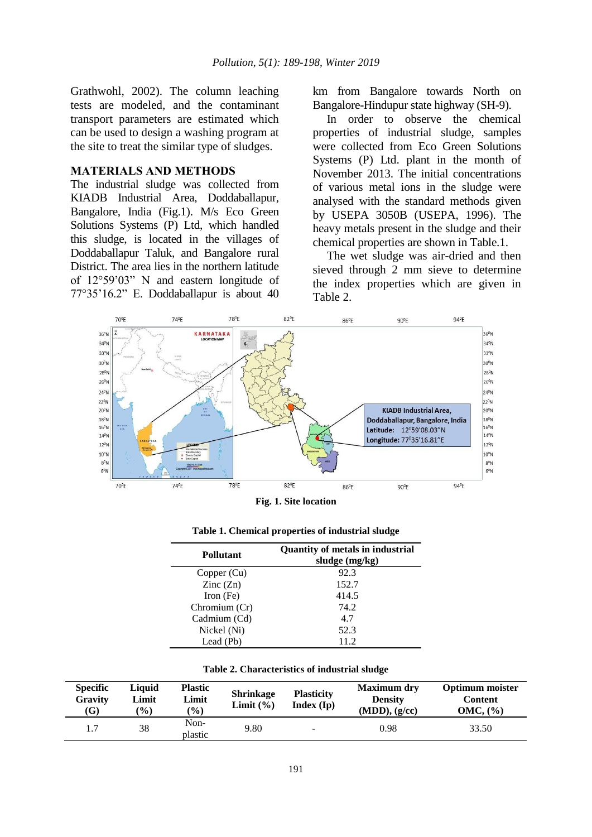Grathwohl, 2002). The column leaching tests are modeled, and the contaminant transport parameters are estimated which can be used to design a washing program at the site to treat the similar type of sludges.

## **MATERIALS AND METHODS**

The industrial sludge was collected from KIADB Industrial Area, Doddaballapur, Bangalore, India (Fig.1). M/s Eco Green Solutions Systems (P) Ltd, which handled this sludge, is located in the villages of Doddaballapur Taluk, and Bangalore rural District. The area lies in the northern latitude of 12°59'03" N and eastern longitude of 77°35'16.2" E. Doddaballapur is about 40

km from Bangalore towards North on Bangalore-Hindupur state highway (SH-9).

In order to observe the chemical properties of industrial sludge, samples were collected from Eco Green Solutions Systems (P) Ltd. plant in the month of November 2013. The initial concentrations of various metal ions in the sludge were analysed with the standard methods given by USEPA 3050B (USEPA, 1996). The heavy metals present in the sludge and their chemical properties are shown in Table.1.

The wet sludge was air-dried and then sieved through 2 mm sieve to determine the index properties which are given in Table 2.



**Fig. 1. Site location**

| <b>Pollutant</b>         | <b>Quantity of metals in industrial</b><br>sludge (mg/kg) |
|--------------------------|-----------------------------------------------------------|
| Copper (Cu)              | 92.3                                                      |
| $\text{Zinc}(\text{Zn})$ | 152.7                                                     |
| Iron $(Fe)$              | 414.5                                                     |
| Chromium (Cr)            | 74.2                                                      |
| Cadmium (Cd)             | 4.7                                                       |
| Nickel (Ni)              | 52.3                                                      |
| Lead (Pb)                | 11.2                                                      |

**Table 1. Chemical properties of industrial sludge**

| Table 2. Characteristics of industrial sludge |
|-----------------------------------------------|
|-----------------------------------------------|

| <b>Specific</b><br>Gravity<br>(G) | Liauid<br>Limit<br>$($ %) | <b>Plastic</b><br>Limit<br>$\frac{9}{6}$ | <b>Shrinkage</b><br>Limit $(\% )$ | <b>Plasticity</b><br>Index (Ip) | <b>Maximum dry</b><br><b>Density</b><br>$(MDD)$ , $(g/cc)$ | <b>Optimum</b> moister<br>Content<br>$OMC.$ $\left(\frac{9}{6}\right)$ |
|-----------------------------------|---------------------------|------------------------------------------|-----------------------------------|---------------------------------|------------------------------------------------------------|------------------------------------------------------------------------|
|                                   | 38                        | Non-<br>plastic                          | 9.80                              | $\overline{\phantom{a}}$        | 0.98                                                       | 33.50                                                                  |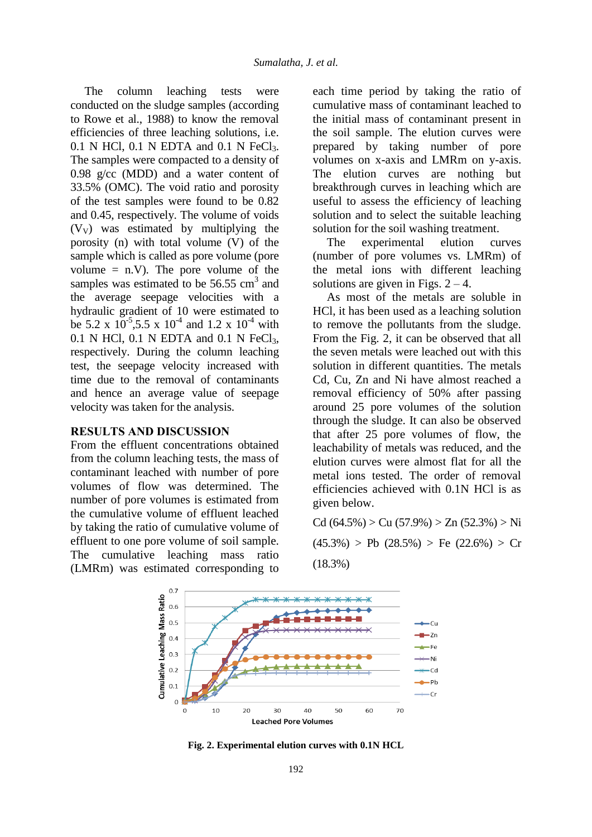The column leaching tests were conducted on the sludge samples (according to Rowe et al., 1988) to know the removal efficiencies of three leaching solutions, i.e. 0.1 N HCl, 0.1 N EDTA and 0.1 N FeCl<sub>3</sub>. The samples were compacted to a density of 0.98 g/cc (MDD) and a water content of 33.5% (OMC). The void ratio and porosity of the test samples were found to be 0.82 and 0.45, respectively. The volume of voids  $(V_V)$  was estimated by multiplying the porosity (n) with total volume (V) of the sample which is called as pore volume (pore volume  $= n.V$ ). The pore volume of the samples was estimated to be  $56.55 \text{ cm}^3$  and the average seepage velocities with a hydraulic gradient of 10 were estimated to be 5.2 x  $10^{-5}$ , 5.5 x  $10^{-4}$  and 1.2 x  $10^{-4}$  with 0.1 N HCl, 0.1 N EDTA and 0.1 N FeCl<sub>3</sub>, respectively. During the column leaching test, the seepage velocity increased with time due to the removal of contaminants and hence an average value of seepage velocity was taken for the analysis.

### **RESULTS AND DISCUSSION**

From the effluent concentrations obtained from the column leaching tests, the mass of contaminant leached with number of pore volumes of flow was determined. The number of pore volumes is estimated from the cumulative volume of effluent leached by taking the ratio of cumulative volume of effluent to one pore volume of soil sample. The cumulative leaching mass ratio (LMRm) was estimated corresponding to each time period by taking the ratio of cumulative mass of contaminant leached to the initial mass of contaminant present in the soil sample. The elution curves were prepared by taking number of pore volumes on x-axis and LMRm on y-axis. The elution curves are nothing but breakthrough curves in leaching which are useful to assess the efficiency of leaching solution and to select the suitable leaching solution for the soil washing treatment.

The experimental elution curves (number of pore volumes vs. LMRm) of the metal ions with different leaching solutions are given in Figs.  $2 - 4$ .

As most of the metals are soluble in HCl, it has been used as a leaching solution to remove the pollutants from the sludge. From the Fig. 2, it can be observed that all the seven metals were leached out with this solution in different quantities. The metals Cd, Cu, Zn and Ni have almost reached a removal efficiency of 50% after passing around 25 pore volumes of the solution through the sludge. It can also be observed that after 25 pore volumes of flow, the leachability of metals was reduced, and the elution curves were almost flat for all the metal ions tested. The order of removal efficiencies achieved with 0.1N HCl is as given below.

Cd  $(64.5\%) > Cu (57.9\%) > Zn (52.3\%) > Ni$  $(45.3\%)$  > Pb  $(28.5\%)$  > Fe  $(22.6\%)$  > Cr (18.3%)



**Fig. 2. Experimental elution curves with 0.1N HCL**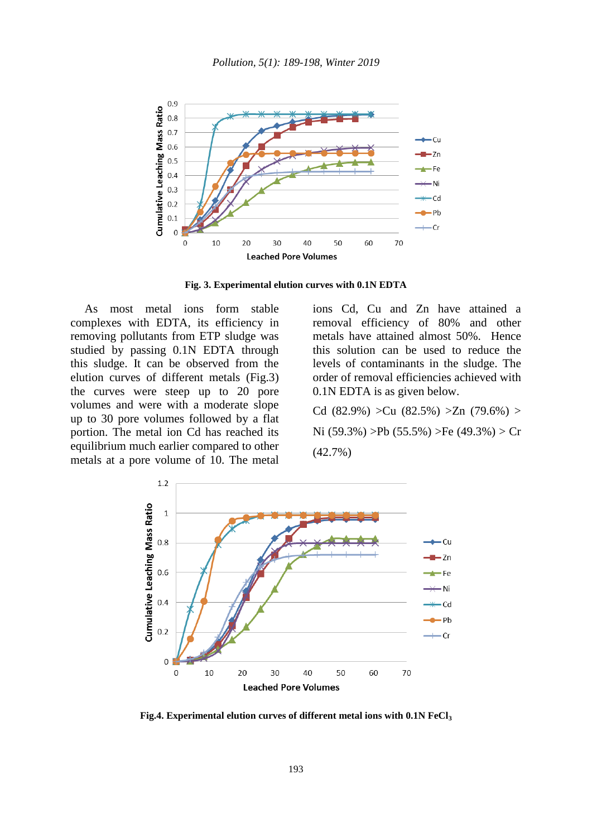

**Fig. 3. Experimental elution curves with 0.1N EDTA**

As most metal ions form stable complexes with EDTA, its efficiency in removing pollutants from ETP sludge was studied by passing 0.1N EDTA through this sludge. It can be observed from the elution curves of different metals (Fig.3) the curves were steep up to 20 pore volumes and were with a moderate slope up to 30 pore volumes followed by a flat portion. The metal ion Cd has reached its equilibrium much earlier compared to other metals at a pore volume of 10. The metal ions Cd, Cu and Zn have attained a removal efficiency of 80% and other metals have attained almost 50%. Hence this solution can be used to reduce the levels of contaminants in the sludge. The order of removal efficiencies achieved with 0.1N EDTA is as given below.

Cd (82.9%) > Cu (82.5%) > Zn (79.6%) > Ni (59.3%) >Pb (55.5%) >Fe (49.3%) > Cr (42.7%)



**Fig.4. Experimental elution curves of different metal ions with 0.1N FeCl3**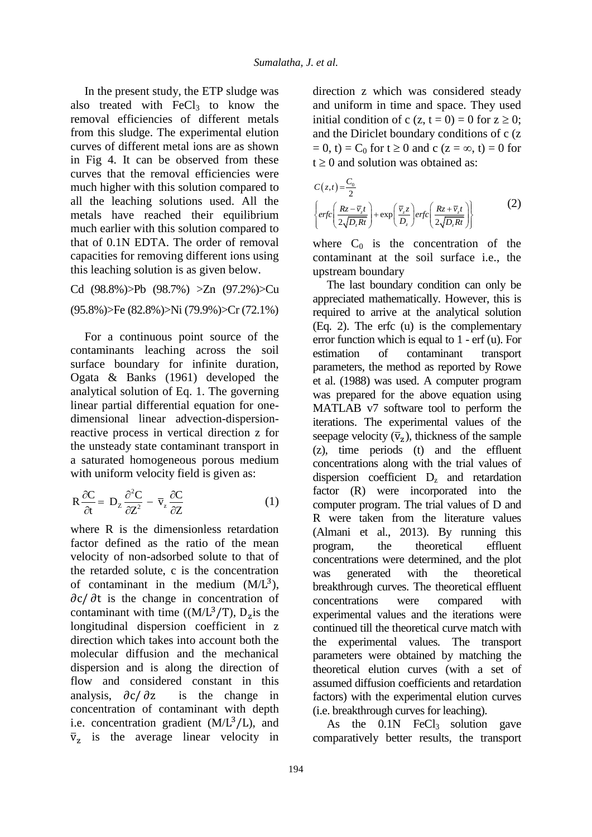In the present study, the ETP sludge was also treated with  $FeCl<sub>3</sub>$  to know the removal efficiencies of different metals from this sludge. The experimental elution curves of different metal ions are as shown in Fig 4. It can be observed from these curves that the removal efficiencies were much higher with this solution compared to all the leaching solutions used. All the metals have reached their equilibrium much earlier with this solution compared to that of 0.1N EDTA. The order of removal capacities for removing different ions using this leaching solution is as given below.

Cd (98.8%)>Pb (98.7%) >Zn (97.2%)>Cu (95.8%)>Fe (82.8%)>Ni (79.9%)>Cr (72.1%)

For a continuous point source of the contaminants leaching across the soil surface boundary for infinite duration, Ogata & Banks (1961) developed the analytical solution of Eq. 1. The governing linear partial differential equation for onedimensional linear advection-dispersionreactive process in vertical direction z for the unsteady state contaminant transport in a saturated homogeneous porous medium with uniform velocity field is given as:

$$
R\frac{\partial C}{\partial t} = D_z \frac{\partial^2 C}{\partial Z^2} - \overline{v}_z \frac{\partial C}{\partial Z}
$$
 (1)

where R is the dimensionless retardation factor defined as the ratio of the mean velocity of non-adsorbed solute to that of the retarded solute, c is the concentration of contaminant in the medium  $(M/L<sup>3</sup>)$ ,  $\partial c / \partial t$  is the change in concentration of contaminant with time  $((M/L<sup>3</sup>/T), D<sub>z</sub>$  is the longitudinal dispersion coefficient in z direction which takes into account both the molecular diffusion and the mechanical dispersion and is along the direction of flow and considered constant in this analysis,  $\partial c / \partial z$  is the change in concentration of contaminant with depth i.e. concentration gradient  $(M/L<sup>3</sup>/L)$ , and  $\bar{v}_z$  is the average linear velocity in direction z which was considered steady and uniform in time and space. They used initial condition of c (z, t = 0) = 0 for  $z \ge 0$ ; and the Diriclet boundary conditions of c (z  $= 0$ , t) = C<sub>0</sub> for t  $\geq 0$  and c (z = ∞, t) = 0 for  $t \geq 0$  and solution was obtained as:

$$
C(z,t) = \frac{C_0}{2}
$$
  
\n
$$
\left\{ erf c \left( \frac{Rz - \bar{v}_z t}{2\sqrt{D_z Rt}} \right) + exp \left( \frac{\bar{v}_z z}{D_z} \right) erf c \left( \frac{Rz + \bar{v}_z t}{2\sqrt{D_z Rt}} \right) \right\}
$$
 (2)

where  $C_0$  is the concentration of the contaminant at the soil surface i.e., the upstream boundary

The last boundary condition can only be appreciated mathematically. However, this is required to arrive at the analytical solution (Eq. 2). The erfc (u) is the complementary error function which is equal to 1 - erf (u). For estimation of contaminant transport parameters, the method as reported by Rowe et al. (1988) was used. A computer program was prepared for the above equation using MATLAB v7 software tool to perform the iterations. The experimental values of the seepage velocity  $(\bar{v}_z)$ , thickness of the sample (z), time periods (t) and the effluent concentrations along with the trial values of dispersion coefficient  $D<sub>z</sub>$  and retardation factor (R) were incorporated into the computer program. The trial values of D and R were taken from the literature values (Almani et al., 2013). By running this program, the theoretical effluent concentrations were determined, and the plot was generated with the theoretical breakthrough curves. The theoretical effluent concentrations were compared with experimental values and the iterations were continued till the theoretical curve match with the experimental values. The transport parameters were obtained by matching the theoretical elution curves (with a set of assumed diffusion coefficients and retardation factors) with the experimental elution curves (i.e. breakthrough curves for leaching).

As the  $0.1N$  FeCl<sub>3</sub> solution gave comparatively better results, the transport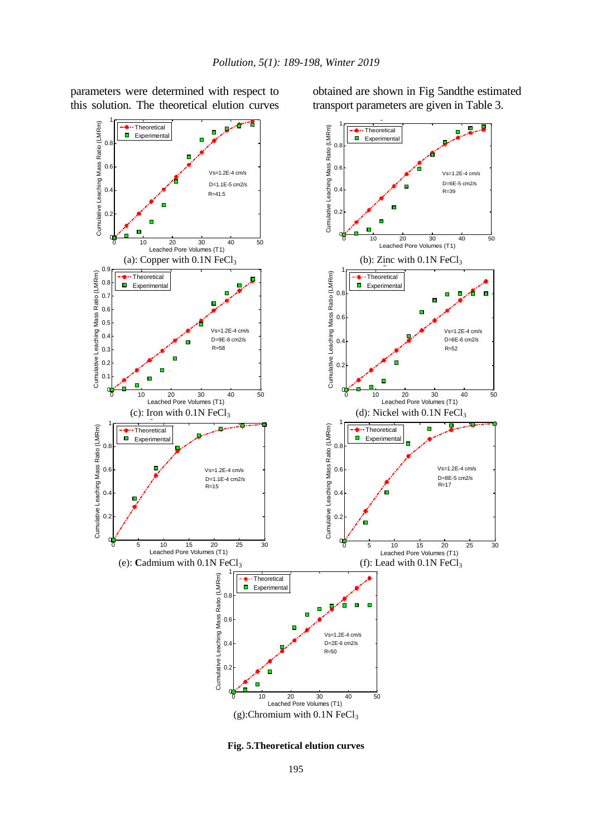obtained are shown in Fig 5andthe estimated transport parameters are given in Table 3.



parameters were determined with respect to this solution. The theoretical elution curves

**Fig. 5.Theoretical elution curves**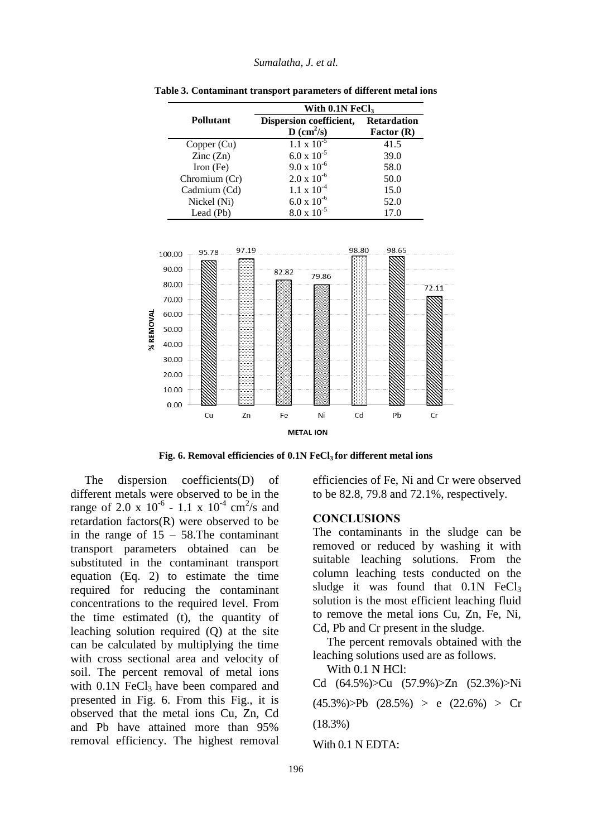|                          | With $0.1N$ FeCl <sub>3</sub> |                    |
|--------------------------|-------------------------------|--------------------|
| <b>Pollutant</b>         | Dispersion coefficient,       | <b>Retardation</b> |
|                          | $D$ (cm <sup>2</sup> /s)      | Factor $(R)$       |
| Copper (Cu)              | $1.1 \times 10^{-5}$          | 41.5               |
| $\text{Zinc}(\text{Zn})$ | $6.0 \times 10^{-5}$          | 39.0               |
| Iron $(Fe)$              | $9.0 \times 10^{-6}$          | 58.0               |
| Chromium (Cr)            | $2.0 \times 10^{-6}$          | 50.0               |
| Cadmium (Cd)             | $1.1 \times 10^{-4}$          | 15.0               |
| Nickel (Ni)              | $6.0 \times 10^{-6}$          | 52.0               |
| Lead (Pb)                | $8.0 \times 10^{-5}$          | 17.0               |

**Table 3. Contaminant transport parameters of different metal ions**



**Fig. 6. Removal efficiencies of 0.1N FeCl3 for different metal ions** 

The dispersion coefficients(D) of different metals were observed to be in the range of 2.0 x  $10^{-6}$  - 1.1 x  $10^{-4}$  cm<sup>2</sup>/s and retardation factors(R) were observed to be in the range of  $15 - 58$ . The contaminant transport parameters obtained can be substituted in the contaminant transport equation (Eq. 2) to estimate the time required for reducing the contaminant concentrations to the required level. From the time estimated (t), the quantity of leaching solution required (Q) at the site can be calculated by multiplying the time with cross sectional area and velocity of soil. The percent removal of metal ions with  $0.1N$  FeCl<sub>3</sub> have been compared and presented in Fig. 6. From this Fig., it is observed that the metal ions Cu, Zn, Cd and Pb have attained more than 95% removal efficiency. The highest removal

efficiencies of Fe, Ni and Cr were observed to be 82.8, 79.8 and 72.1%, respectively.

#### **CONCLUSIONS**

The contaminants in the sludge can be removed or reduced by washing it with suitable leaching solutions. From the column leaching tests conducted on the sludge it was found that  $0.1N$  FeCl<sub>3</sub> solution is the most efficient leaching fluid to remove the metal ions Cu, Zn, Fe, Ni, Cd, Pb and Cr present in the sludge.

The percent removals obtained with the leaching solutions used are as follows.

With 0.1 N HCl: Cd (64.5%)>Cu (57.9%)>Zn (52.3%)>Ni  $(45.3\%)$ >Pb  $(28.5\%)$  > e  $(22.6\%)$  > Cr (18.3%) With 0.1 N EDTA: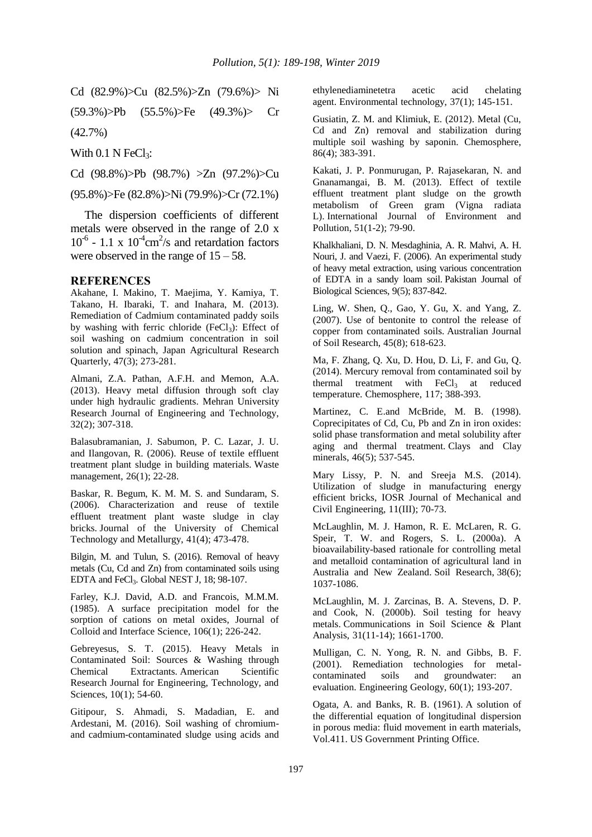Cd (82.9%)>Cu (82.5%)>Zn (79.6%)> Ni

(59.3%)>Pb (55.5%)>Fe (49.3%)> Cr (42.7%)

With  $0.1$  N FeCl<sub>3</sub>:

Cd (98.8%)>Pb (98.7%) >Zn (97.2%)>Cu

#### (95.8%)>Fe (82.8%)>Ni (79.9%)>Cr (72.1%)

The dispersion coefficients of different metals were observed in the range of 2.0 x  $10^{-6}$  - 1.1 x  $10^{-4}$ cm<sup>2</sup>/s and retardation factors were observed in the range of  $15 - 58$ .

#### **REFERENCES**

Akahane, I. Makino, T. Maejima, Y. Kamiya, T. Takano, H. Ibaraki, T. and Inahara, M. (2013). Remediation of Cadmium contaminated paddy soils by washing with ferric chloride (FeCl<sub>3</sub>): Effect of soil washing on cadmium concentration in soil solution and spinach, Japan Agricultural Research Quarterly, 47(3); 273-281.

Almani, Z.A. Pathan, A.F.H. and Memon, A.A. (2013). Heavy metal diffusion through soft clay under high hydraulic gradients. Mehran University Research Journal of Engineering and Technology, 32(2); 307-318.

Balasubramanian, J. Sabumon, P. C. Lazar, J. U. and Ilangovan, R. (2006). Reuse of textile effluent treatment plant sludge in building materials. Waste management, 26(1); 22-28.

Baskar, R. Begum, K. M. M. S. and Sundaram, S. (2006). Characterization and reuse of textile effluent treatment plant waste sludge in clay bricks. Journal of the University of Chemical Technology and Metallurgy, 41(4); 473-478.

Bilgin, M. and Tulun, S. (2016). Removal of heavy metals (Cu, Cd and Zn) from contaminated soils using EDTA and FeCl<sub>3</sub>. Global NEST J, 18; 98-107.

Farley, K.J. David, A.D. and Francois, M.M.M. (1985). A surface precipitation model for the sorption of cations on metal oxides, Journal of Colloid and Interface Science, 106(1); 226-242.

Gebreyesus, S. T. (2015). Heavy Metals in Contaminated Soil: Sources & Washing through Chemical Extractants. American Scientific Research Journal for Engineering, Technology, and Sciences, 10(1); 54-60.

Gitipour, S. Ahmadi, S. Madadian, E. and Ardestani, M. (2016). Soil washing of chromiumand cadmium-contaminated sludge using acids and ethylenediaminetetra acetic acid chelating agent. Environmental technology, 37(1); 145-151.

Gusiatin, Z. M. and Klimiuk, E. (2012). Metal (Cu, Cd and Zn) removal and stabilization during multiple soil washing by saponin. Chemosphere, 86(4); 383-391.

Kakati, J. P. Ponmurugan, P. Rajasekaran, N. and Gnanamangai, B. M. (2013). Effect of textile effluent treatment plant sludge on the growth metabolism of Green gram (Vigna radiata L). International Journal of Environment and Pollution, 51(1-2); 79-90.

Khalkhaliani, D. N. Mesdaghinia, A. R. Mahvi, A. H. Nouri, J. and Vaezi, F. (2006). An experimental study of heavy metal extraction, using various concentration of EDTA in a sandy loam soil. Pakistan Journal of Biological Sciences, 9(5); 837-842.

Ling, W. Shen, Q., Gao, Y. Gu, X. and Yang, Z. (2007). Use of bentonite to control the release of copper from contaminated soils. Australian Journal of Soil Research, 45(8); 618-623.

Ma, F. Zhang, Q. Xu, D. Hou, D. Li, F. and Gu, Q. (2014). Mercury removal from contaminated soil by thermal treatment with  $FeCl<sub>3</sub>$  at reduced temperature. Chemosphere, 117; 388-393.

Martinez, C. E.and McBride, M. B. (1998). Coprecipitates of Cd, Cu, Pb and Zn in iron oxides: solid phase transformation and metal solubility after aging and thermal treatment. Clays and Clay minerals, 46(5); 537-545.

Mary Lissy, P. N. and Sreeja M.S. (2014). Utilization of sludge in manufacturing energy efficient bricks, IOSR Journal of Mechanical and Civil Engineering, 11(III); 70-73.

McLaughlin, M. J. Hamon, R. E. McLaren, R. G. Speir, T. W. and Rogers, S. L. (2000a). A bioavailability-based rationale for controlling metal and metalloid contamination of agricultural land in Australia and New Zealand. Soil Research, 38(6); 1037-1086.

McLaughlin, M. J. Zarcinas, B. A. Stevens, D. P. and Cook, N. (2000b). Soil testing for heavy metals. Communications in Soil Science & Plant Analysis, 31(11-14); 1661-1700.

Mulligan, C. N. Yong, R. N. and Gibbs, B. F. (2001). Remediation technologies for metalcontaminated soils and groundwater: an evaluation. Engineering Geology, 60(1); 193-207.

Ogata, A. and Banks, R. B. (1961). A solution of the differential equation of longitudinal dispersion in porous media: fluid movement in earth materials, Vol.411. US Government Printing Office.